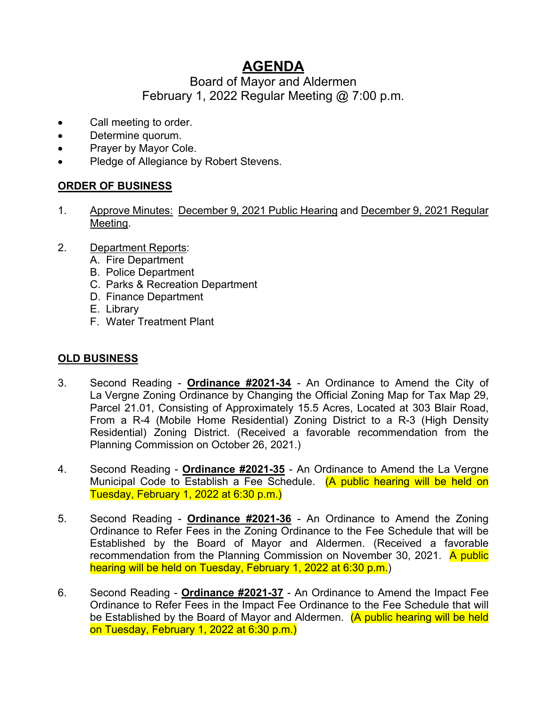# **AGENDA**

## Board of Mayor and Aldermen February 1, 2022 Regular Meeting @ 7:00 p.m.

- Call meeting to order.
- Determine quorum.
- Prayer by Mayor Cole.
- Pledge of Allegiance by Robert Stevens.

### **ORDER OF BUSINESS**

- 1. Approve Minutes: December 9, 2021 Public Hearing and December 9, 2021 Regular Meeting.
- 2. Department Reports:
	- A. Fire Department
	- B. Police Department
	- C. Parks & Recreation Department
	- D. Finance Department
	- E. Library
	- F. Water Treatment Plant

### **OLD BUSINESS**

- 3. Second Reading **Ordinance #2021-34** An Ordinance to Amend the City of La Vergne Zoning Ordinance by Changing the Official Zoning Map for Tax Map 29, Parcel 21.01, Consisting of Approximately 15.5 Acres, Located at 303 Blair Road, From a R-4 (Mobile Home Residential) Zoning District to a R-3 (High Density Residential) Zoning District. (Received a favorable recommendation from the Planning Commission on October 26, 2021.)
- 4. Second Reading **Ordinance #2021-35** An Ordinance to Amend the La Vergne Municipal Code to Establish a Fee Schedule. (A public hearing will be held on Tuesday, February 1, 2022 at 6:30 p.m.)
- 5. Second Reading **Ordinance #2021-36** An Ordinance to Amend the Zoning Ordinance to Refer Fees in the Zoning Ordinance to the Fee Schedule that will be Established by the Board of Mayor and Aldermen. (Received a favorable recommendation from the Planning Commission on November 30, 2021. A public hearing will be held on Tuesday, February 1, 2022 at 6:30 p.m.)
- 6. Second Reading **Ordinance #2021-37** An Ordinance to Amend the Impact Fee Ordinance to Refer Fees in the Impact Fee Ordinance to the Fee Schedule that will be Established by the Board of Mayor and Aldermen. (A public hearing will be held on Tuesday, February 1, 2022 at 6:30 p.m.)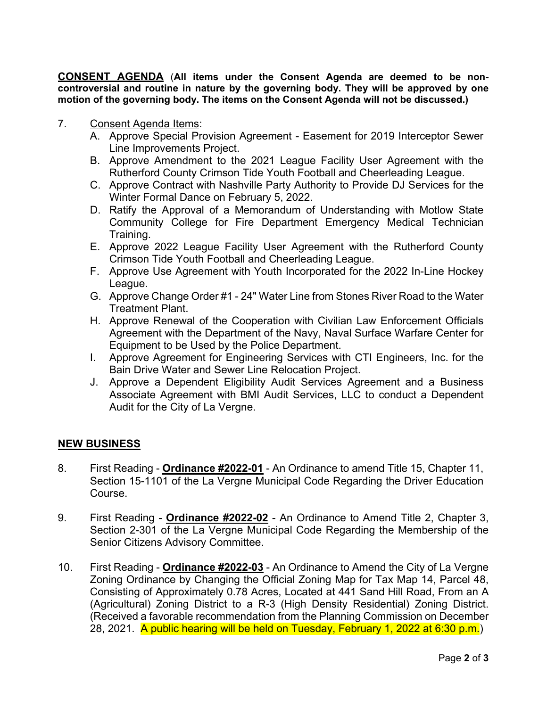**CONSENT AGENDA** (**All items under the Consent Agenda are deemed to be noncontroversial and routine in nature by the governing body. They will be approved by one motion of the governing body. The items on the Consent Agenda will not be discussed.)**

- 7. Consent Agenda Items:
	- A. Approve Special Provision Agreement Easement for 2019 Interceptor Sewer Line Improvements Project.
	- B. Approve Amendment to the 2021 League Facility User Agreement with the Rutherford County Crimson Tide Youth Football and Cheerleading League.
	- C. Approve Contract with Nashville Party Authority to Provide DJ Services for the Winter Formal Dance on February 5, 2022.
	- D. Ratify the Approval of a Memorandum of Understanding with Motlow State Community College for Fire Department Emergency Medical Technician Training.
	- E. Approve 2022 League Facility User Agreement with the Rutherford County Crimson Tide Youth Football and Cheerleading League.
	- F. Approve Use Agreement with Youth Incorporated for the 2022 In-Line Hockey League.
	- G. Approve Change Order #1 24" Water Line from Stones River Road to the Water Treatment Plant.
	- H. Approve Renewal of the Cooperation with Civilian Law Enforcement Officials Agreement with the Department of the Navy, Naval Surface Warfare Center for Equipment to be Used by the Police Department.
	- I. Approve Agreement for Engineering Services with CTI Engineers, Inc. for the Bain Drive Water and Sewer Line Relocation Project.
	- J. Approve a Dependent Eligibility Audit Services Agreement and a Business Associate Agreement with BMI Audit Services, LLC to conduct a Dependent Audit for the City of La Vergne.

#### **NEW BUSINESS**

- 8. First Reading **Ordinance #2022-01** An Ordinance to amend Title 15, Chapter 11, Section 15-1101 of the La Vergne Municipal Code Regarding the Driver Education Course.
- 9. First Reading **Ordinance #2022-02** An Ordinance to Amend Title 2, Chapter 3, Section 2-301 of the La Vergne Municipal Code Regarding the Membership of the Senior Citizens Advisory Committee.
- 10. First Reading **Ordinance #2022-03** An Ordinance to Amend the City of La Vergne Zoning Ordinance by Changing the Official Zoning Map for Tax Map 14, Parcel 48, Consisting of Approximately 0.78 Acres, Located at 441 Sand Hill Road, From an A (Agricultural) Zoning District to a R-3 (High Density Residential) Zoning District. (Received a favorable recommendation from the Planning Commission on December 28, 2021. A public hearing will be held on Tuesday, February 1, 2022 at 6:30 p.m.)